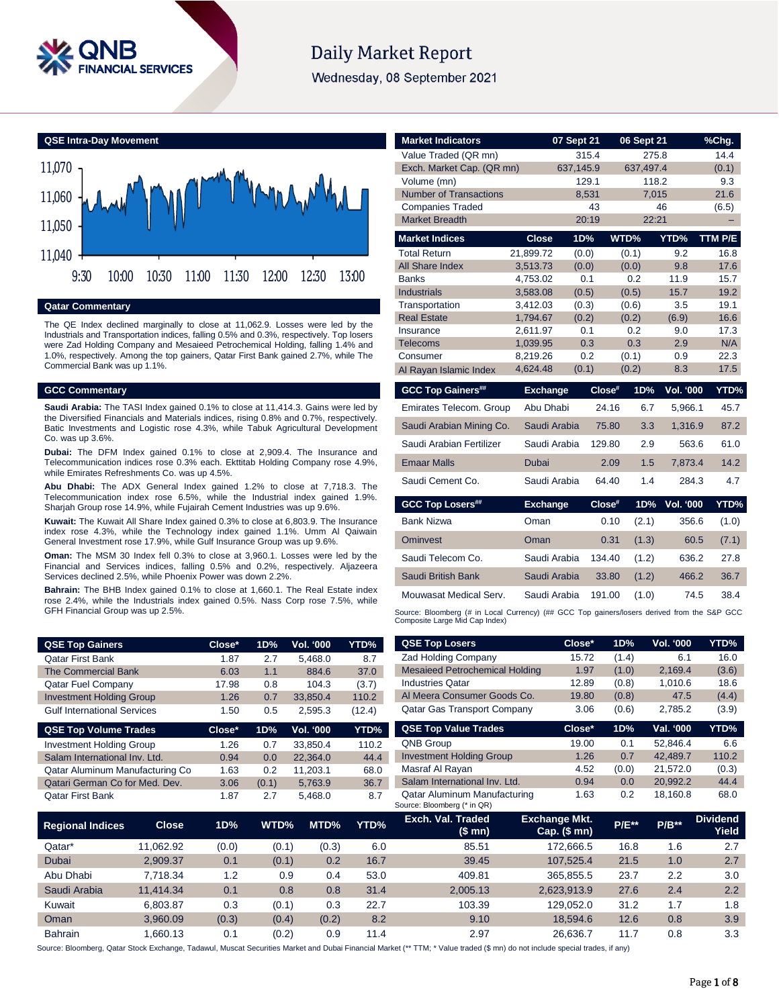

# **Daily Market Report**

Wednesday, 08 September 2021



#### **Qatar Commentary**

The QE Index declined marginally to close at 11,062.9. Losses were led by the Industrials and Transportation indices, falling 0.5% and 0.3%, respectively. Top losers were Zad Holding Company and Mesaieed Petrochemical Holding, falling 1.4% and 1.0%, respectively. Among the top gainers, Qatar First Bank gained 2.7%, while The Commercial Bank was up 1.1%.

### **GCC Commentary**

**Saudi Arabia:** The TASI Index gained 0.1% to close at 11,414.3. Gains were led by the Diversified Financials and Materials indices, rising 0.8% and 0.7%, respectively. Batic Investments and Logistic rose 4.3%, while Tabuk Agricultural Development Co. was up 3.6%.

**Dubai:** The DFM Index gained 0.1% to close at 2,909.4. The Insurance and Telecommunication indices rose 0.3% each. Ekttitab Holding Company rose 4.9%, while Emirates Refreshments Co. was up 4.5%.

**Abu Dhabi:** The ADX General Index gained 1.2% to close at 7,718.3. The Telecommunication index rose 6.5%, while the Industrial index gained 1.9%. Sharjah Group rose 14.9%, while Fujairah Cement Industries was up 9.6%.

**Kuwait:** The Kuwait All Share Index gained 0.3% to close at 6,803.9. The Insurance index rose 4.3%, while the Technology index gained 1.1%. Umm Al Qaiwain General Investment rose 17.9%, while Gulf Insurance Group was up 9.6%.

**Oman:** The MSM 30 Index fell 0.3% to close at 3,960.1. Losses were led by the Financial and Services indices, falling 0.5% and 0.2%, respectively. Aljazeera Services declined 2.5%, while Phoenix Power was down 2.2%.

**Bahrain:** The BHB Index gained 0.1% to close at 1,660.1. The Real Estate index rose 2.4%, while the Industrials index gained 0.5%. Nass Corp rose 7.5%, while GFH Financial Group was up 2.5%.

| QSE Top Gainers                    | Close* | 1D% | Vol. '000 | <b>YTD%</b> |
|------------------------------------|--------|-----|-----------|-------------|
| <b>Qatar First Bank</b>            | 1.87   | 2.7 | 5.468.0   | 8.7         |
| <b>The Commercial Bank</b>         | 6.03   | 1.1 | 884.6     | 37.0        |
| <b>Qatar Fuel Company</b>          | 17.98  | 0.8 | 104.3     | (3.7)       |
| <b>Investment Holding Group</b>    | 1.26   | 0.7 | 33.850.4  | 110.2       |
| <b>Gulf International Services</b> | 1.50   | 0.5 | 2.595.3   | (12.4)      |
| <b>QSE Top Volume Trades</b>       | Close* | 1D% | Vol. '000 | YTD%        |

| <b>Investment Holding Group</b> | 1.26 | 0.7   | 33.850.4 | 110.2 |
|---------------------------------|------|-------|----------|-------|
| Salam International Inv. Ltd.   | 0.94 | 0.0   | 22.364.0 | 44.4  |
| Qatar Aluminum Manufacturing Co | 1.63 | 0.2   | 11.203.1 | 68.0  |
| Qatari German Co for Med. Dev.  | 3.06 | (0.1) | 5.763.9  | 36.7  |
| <b>Qatar First Bank</b>         | 1.87 | 27    | 5.468.0  | 8.7   |
|                                 |      |       |          |       |

| <b>Market Indicators</b>                                                                                                      |                      | 07 Sept 21        | 06 Sept 21     |                  | %Chg.       |
|-------------------------------------------------------------------------------------------------------------------------------|----------------------|-------------------|----------------|------------------|-------------|
| Value Traded (QR mn)                                                                                                          |                      | 315.4             | 275.8          |                  | 14.4        |
| Exch. Market Cap. (QR mn)                                                                                                     |                      | 637,145.9         | 637,497.4      |                  | (0.1)       |
| Volume (mn)                                                                                                                   |                      | 129.1             | 118.2          |                  | 9.3         |
| <b>Number of Transactions</b>                                                                                                 |                      | 8,531             | 7,015          |                  | 21.6        |
| <b>Companies Traded</b>                                                                                                       |                      | 43                |                | 46               | (6.5)       |
| <b>Market Breadth</b>                                                                                                         |                      | 20:19             | 22:21          |                  |             |
| <b>Market Indices</b>                                                                                                         | <b>Close</b>         | 1D%               | WTD%           | YTD%             | TTM P/E     |
| <b>Total Return</b>                                                                                                           | 21,899.72            | (0.0)             | (0.1)          | 9.2              | 16.8        |
| <b>All Share Index</b>                                                                                                        | 3,513.73             | (0.0)             | (0.0)          | 9.8              | 17.6        |
| <b>Banks</b>                                                                                                                  | 4,753.02             | 0.1               | 0.2            | 11.9             | 15.7        |
| <b>Industrials</b>                                                                                                            | 3,583.08             | (0.5)             | (0.5)          | 15.7             | 19.2        |
| Transportation                                                                                                                | 3,412.03             | (0.3)             | (0.6)          | 3.5              | 19.1        |
| <b>Real Estate</b>                                                                                                            | 1,794.67             | (0.2)             | (0.2)          | (6.9)            | 16.6        |
| Insurance                                                                                                                     | 2.611.97             | 0.1               | 0.2            | 9.0              | 17.3        |
| Telecoms                                                                                                                      | 1,039.95             | 0.3<br>0.2        | 0.3            | 2.9              | N/A<br>22.3 |
| Consumer                                                                                                                      | 8,219.26<br>4,624.48 | (0.1)             | (0.1)<br>(0.2) | 0.9<br>8.3       | 17.5        |
| Al Rayan Islamic Index                                                                                                        |                      |                   |                |                  |             |
| <b>GCC Top Gainers##</b>                                                                                                      | <b>Exchange</b>      | Clos <sup>#</sup> | 1D%            | Vol. '000        | YTD%        |
| Emirates Telecom. Group                                                                                                       | Abu Dhabi            |                   | 24.16<br>6.7   | 5.966.1          | 45.7        |
|                                                                                                                               |                      |                   |                |                  |             |
| Saudi Arabian Mining Co.                                                                                                      | Saudi Arabia         |                   | 3.3<br>75.80   | 1,316.9          | 87.2        |
| Saudi Arabian Fertilizer                                                                                                      | Saudi Arabia         | 129.80            | 2.9            | 563.6            | 61.0        |
| <b>Emaar Malls</b>                                                                                                            | Dubai                |                   | 1.5<br>2.09    | 7,873.4          | 14.2        |
| Saudi Cement Co.                                                                                                              | Saudi Arabia         |                   | 64.40<br>1.4   | 284.3            | 4.7         |
| <b>GCC Top Losers##</b>                                                                                                       | <b>Exchange</b>      | Close#            | 1D%            | <b>Vol. '000</b> |             |
| <b>Bank Nizwa</b>                                                                                                             | Oman                 |                   | 0.10<br>(2.1)  | 356.6            | (1.0)       |
| Ominyest                                                                                                                      | Oman                 |                   | 0.31<br>(1.3)  | 60.5             | (7.1)       |
| Saudi Telecom Co.                                                                                                             | Saudi Arabia         | 134.40            | (1.2)          | 636.2            | 27.8        |
| Saudi British Bank                                                                                                            | Saudi Arabia         |                   | 33.80<br>(1.2) | 466.2            | 36.7        |
| Mouwasat Medical Serv.                                                                                                        | Saudi Arabia         | 191.00            | (1.0)          | 74.5             | 38.4        |
| Source: Bloomberg (# in Local Currency) (## GCC Top gainers/losers derived from the S&P GCC<br>Composite Large Mid Cap Index) |                      |                   |                |                  | YTD%        |

| <b>QSE Top Losers</b>                 | Close* | 1D%   | <b>Vol. '000</b> | YTD%  |
|---------------------------------------|--------|-------|------------------|-------|
| <b>Zad Holding Company</b>            | 15.72  | (1.4) | 6.1              | 16.0  |
| <b>Mesaieed Petrochemical Holding</b> | 1.97   | (1.0) | 2,169.4          | (3.6) |
| <b>Industries Qatar</b>               | 12.89  | (0.8) | 1.010.6          | 18.6  |
| Al Meera Consumer Goods Co.           | 19.80  | (0.8) | 47.5             | (4.4) |
| <b>Qatar Gas Transport Company</b>    | 3.06   | (0.6) | 2,785.2          | (3.9) |
|                                       |        |       |                  |       |
| <b>QSE Top Value Trades</b>           | Close* | 1D%   | Val. '000        | YTD%  |
| <b>QNB Group</b>                      | 19.00  | 0.1   | 52.846.4         | 6.6   |
| <b>Investment Holding Group</b>       | 1.26   | 0.7   | 42.489.7         | 110.2 |
| Masraf Al Rayan                       | 4.52   | (0.0) | 21.572.0         | (0.3) |
| Salam International Inv. Ltd.         | 0.94   | 0.0   | 20.992.2         | 44.4  |

| <b>Regional Indices</b> | Close     | 1D%   | WTD%  | MTD%  | YTD% | Exch. Val. Traded<br>(\$ mn) | <b>Exchange Mkt.</b><br>Cap. $($mn)$ | <b>P/E**</b> | $P/B***$ | <b>Dividend</b><br>Yield |
|-------------------------|-----------|-------|-------|-------|------|------------------------------|--------------------------------------|--------------|----------|--------------------------|
| Qatar*                  | 11.062.92 | (0.0) | (0.1) | (0.3) | 6.0  | 85.51                        | 172.666.5                            | 16.8         | 1.6      | 2.7                      |
| Dubai                   | 2,909.37  | 0.1   | (0.1) | 0.2   | 16.7 | 39.45                        | 107.525.4                            | 21.5         | 1.0      | 2.7                      |
| Abu Dhabi               | 7.718.34  | 1.2   | 0.9   | 0.4   | 53.0 | 409.81                       | 365.855.5                            | 23.7         | 2.2      | 3.0                      |
| Saudi Arabia            | 11.414.34 | 0.1   | 0.8   | 0.8   | 31.4 | 2.005.13                     | 2.623.913.9                          | 27.6         | 2.4      | 2.2                      |
| Kuwait                  | 6.803.87  | 0.3   | (0.1) | 0.3   | 22.7 | 103.39                       | 129.052.0                            | 31.2         | 1.7      | 1.8                      |
| Oman                    | 3.960.09  | (0.3) | (0.4) | (0.2) | 8.2  | 9.10                         | 18.594.6                             | 12.6         | 0.8      | 3.9                      |
| <b>Bahrain</b>          | .660.13   | 0.1   | (0.2) | 0.9   | 11.4 | 2.97                         | 26.636.7                             | 11.7         | 0.8      | 3.3                      |

Source: Bloomberg, Qatar Stock Exchange, Tadawul, Muscat Securities Market and Dubai Financial Market (\*\* TTM; \* Value traded (\$ mn) do not include special trades, if any)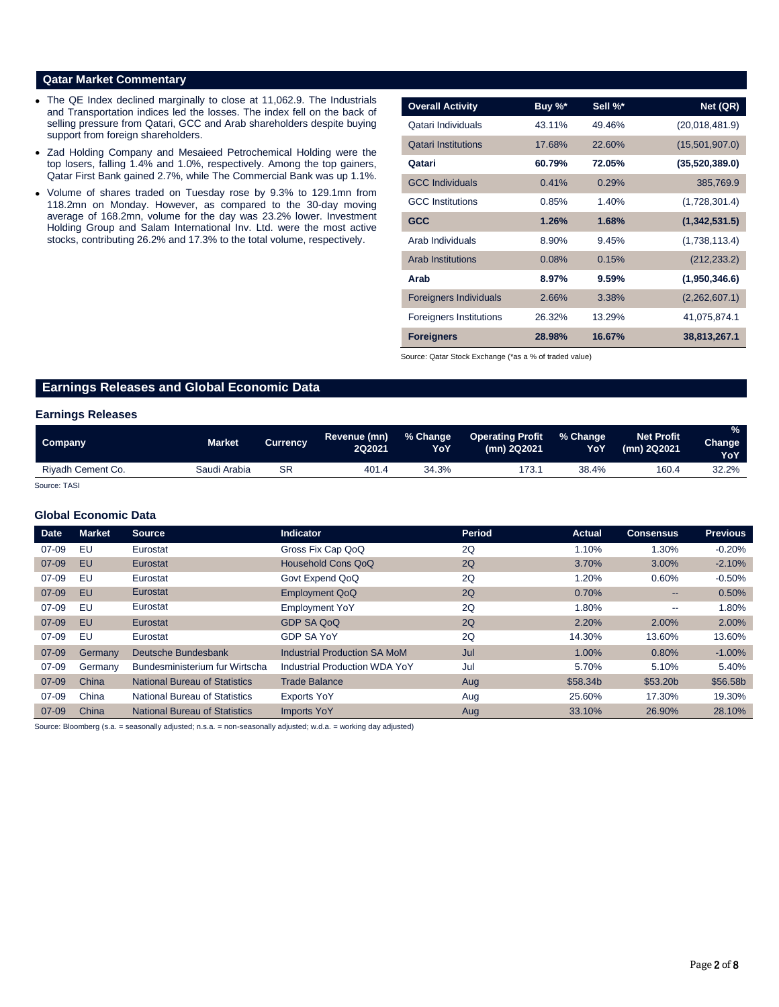### **Qatar Market Commentary**

- The QE Index declined marginally to close at 11,062.9. The Industrials and Transportation indices led the losses. The index fell on the back of selling pressure from Qatari, GCC and Arab shareholders despite buying support from foreign shareholders.
- Zad Holding Company and Mesaieed Petrochemical Holding were the top losers, falling 1.4% and 1.0%, respectively. Among the top gainers, Qatar First Bank gained 2.7%, while The Commercial Bank was up 1.1%.
- Volume of shares traded on Tuesday rose by 9.3% to 129.1mn from 118.2mn on Monday. However, as compared to the 30-day moving average of 168.2mn, volume for the day was 23.2% lower. Investment Holding Group and Salam International Inv. Ltd. were the most active stocks, contributing 26.2% and 17.3% to the total volume, respectively.

| <b>Overall Activity</b>        | Buy %* | Sell %* | Net (QR)       |
|--------------------------------|--------|---------|----------------|
| Qatari Individuals             | 43.11% | 49.46%  | (20,018,481.9) |
| <b>Qatari Institutions</b>     | 17.68% | 22.60%  | (15,501,907.0) |
| Qatari                         | 60.79% | 72.05%  | (35,520,389.0) |
| <b>GCC Individuals</b>         | 0.41%  | 0.29%   | 385,769.9      |
| <b>GCC</b> Institutions        | 0.85%  | 1.40%   | (1,728,301.4)  |
| <b>GCC</b>                     | 1.26%  | 1.68%   | (1,342,531.5)  |
| Arab Individuals               | 8.90%  | 9.45%   | (1,738,113.4)  |
| <b>Arab Institutions</b>       | 0.08%  | 0.15%   | (212, 233.2)   |
| Arab                           | 8.97%  | 9.59%   | (1,950,346.6)  |
| <b>Foreigners Individuals</b>  | 2.66%  | 3.38%   | (2,262,607.1)  |
| <b>Foreigners Institutions</b> | 26.32% | 13.29%  | 41,075,874.1   |
| <b>Foreigners</b>              | 28.98% | 16.67%  | 38,813,267.1   |

Source: Qatar Stock Exchange (\*as a % of traded value)

## **Earnings Releases and Global Economic Data**

#### **Earnings Releases**

| Company           | Market       | <b>Currency</b> | Revenue (mn)<br><b>2Q2021</b> | % Change<br>YoY | <b>Operating Profit</b><br>(mn) 2Q2021 | ∴% Change<br>YoY | <b>Net Profit</b><br>(mn) 2Q2021 | $\frac{9}{6}$<br>Change <sup>1</sup><br><b>YoY</b> |
|-------------------|--------------|-----------------|-------------------------------|-----------------|----------------------------------------|------------------|----------------------------------|----------------------------------------------------|
| Riyadh Cement Co. | Saudi Arabia | SR              | 401.4                         | 34.3%           | 173.1                                  | 38.4%            | 160.4                            | 32.2%                                              |

Source: TASI

#### **Global Economic Data**

| <b>Date</b> | <b>Market</b> | <b>Source</b>                        | <b>Indicator</b>                    | <b>Period</b> | <b>Actual</b> | <b>Consensus</b>         | <b>Previous</b> |
|-------------|---------------|--------------------------------------|-------------------------------------|---------------|---------------|--------------------------|-----------------|
| $07 - 09$   | EU            | Eurostat                             | Gross Fix Cap QoQ                   | 2Q            | 1.10%         | 1.30%                    | $-0.20\%$       |
| $07 - 09$   | EU            | Eurostat                             | Household Cons QoQ                  | 2Q            | 3.70%         | 3.00%                    | $-2.10%$        |
| $07 - 09$   | EU            | Eurostat                             | Govt Expend QoQ                     | 2Q            | 1.20%         | 0.60%                    | $-0.50%$        |
| $07 - 09$   | EU            | Eurostat                             | <b>Employment QoQ</b>               | 2Q            | 0.70%         | $\overline{\phantom{a}}$ | 0.50%           |
| $07 - 09$   | EU            | Eurostat                             | <b>Employment YoY</b>               | 2Q            | 1.80%         | $\overline{\phantom{a}}$ | 1.80%           |
| $07 - 09$   | <b>EU</b>     | Eurostat                             | <b>GDP SA QoQ</b>                   | 2Q            | 2.20%         | 2.00%                    | 2.00%           |
| $07 - 09$   | EU            | Eurostat                             | <b>GDP SA YoY</b>                   | 2Q            | 14.30%        | 13.60%                   | 13.60%          |
| $07 - 09$   | Germany       | Deutsche Bundesbank                  | <b>Industrial Production SA MoM</b> | Jul           | 1.00%         | 0.80%                    | $-1.00%$        |
| $07 - 09$   | Germany       | Bundesministerium fur Wirtscha       | Industrial Production WDA YoY       | Jul           | 5.70%         | 5.10%                    | 5.40%           |
| $07 - 09$   | China         | <b>National Bureau of Statistics</b> | <b>Trade Balance</b>                | Aug           | \$58,34b      | \$53.20b                 | \$56.58b        |
| $07 - 09$   | China         | National Bureau of Statistics        | <b>Exports YoY</b>                  | Aug           | 25.60%        | 17.30%                   | 19.30%          |
| $07 - 09$   | China         | <b>National Bureau of Statistics</b> | <b>Imports YoY</b>                  | Aug           | 33.10%        | 26.90%                   | 28.10%          |

Source: Bloomberg (s.a. = seasonally adjusted; n.s.a. = non-seasonally adjusted; w.d.a. = working day adjusted)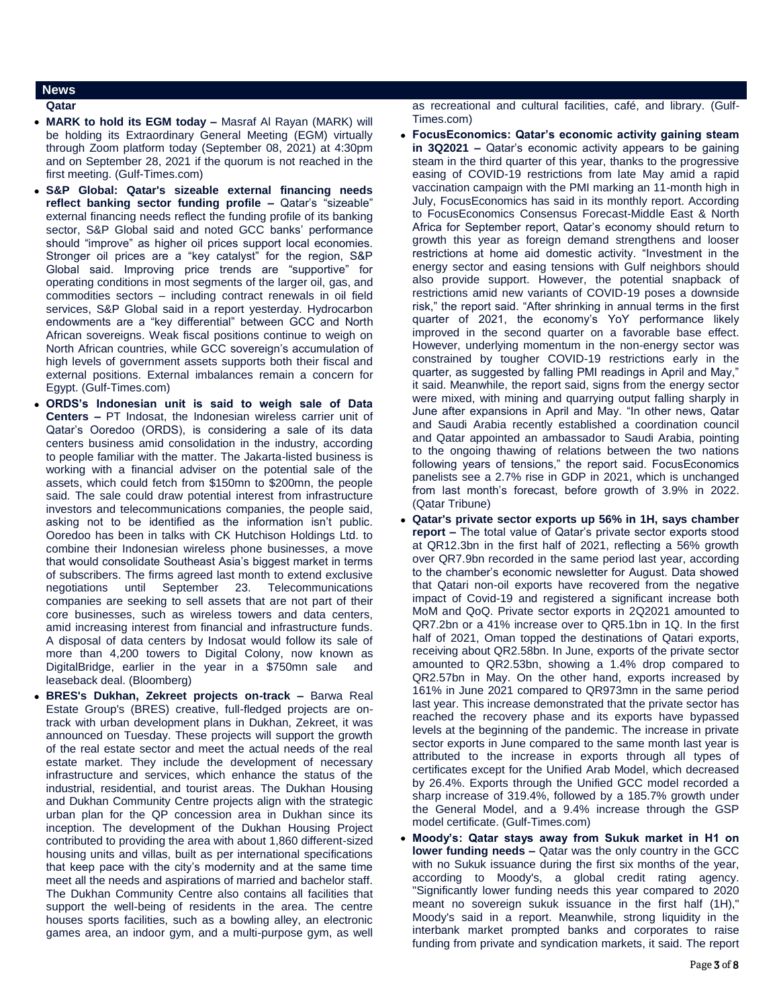# **News**

**Qatar** 

- **MARK to hold its EGM today –** Masraf Al Rayan (MARK) will be holding its Extraordinary General Meeting (EGM) virtually through Zoom platform today (September 08, 2021) at 4:30pm and on September 28, 2021 if the quorum is not reached in the first meeting. (Gulf-Times.com)
- **S&P Global: Qatar's sizeable external financing needs reflect banking sector funding profile –** Qatar's "sizeable" external financing needs reflect the funding profile of its banking sector, S&P Global said and noted GCC banks' performance should "improve" as higher oil prices support local economies. Stronger oil prices are a "key catalyst" for the region, S&P Global said. Improving price trends are "supportive" for operating conditions in most segments of the larger oil, gas, and commodities sectors – including contract renewals in oil field services, S&P Global said in a report yesterday. Hydrocarbon endowments are a "key differential" between GCC and North African sovereigns. Weak fiscal positions continue to weigh on North African countries, while GCC sovereign's accumulation of high levels of government assets supports both their fiscal and external positions. External imbalances remain a concern for Egypt. (Gulf-Times.com)
- **ORDS's Indonesian unit is said to weigh sale of Data Centers –** PT Indosat, the Indonesian wireless carrier unit of Qatar's Ooredoo (ORDS), is considering a sale of its data centers business amid consolidation in the industry, according to people familiar with the matter. The Jakarta-listed business is working with a financial adviser on the potential sale of the assets, which could fetch from \$150mn to \$200mn, the people said. The sale could draw potential interest from infrastructure investors and telecommunications companies, the people said, asking not to be identified as the information isn't public. Ooredoo has been in talks with CK Hutchison Holdings Ltd. to combine their Indonesian wireless phone businesses, a move that would consolidate Southeast Asia's biggest market in terms of subscribers. The firms agreed last month to extend exclusive negotiations until September 23. Telecommunications companies are seeking to sell assets that are not part of their core businesses, such as wireless towers and data centers, amid increasing interest from financial and infrastructure funds. A disposal of data centers by Indosat would follow its sale of more than 4,200 towers to Digital Colony, now known as DigitalBridge, earlier in the year in a \$750mn sale and leaseback deal. (Bloomberg)
- **BRES's Dukhan, Zekreet projects on-track –** Barwa Real Estate Group's (BRES) creative, full-fledged projects are ontrack with urban development plans in Dukhan, Zekreet, it was announced on Tuesday. These projects will support the growth of the real estate sector and meet the actual needs of the real estate market. They include the development of necessary infrastructure and services, which enhance the status of the industrial, residential, and tourist areas. The Dukhan Housing and Dukhan Community Centre projects align with the strategic urban plan for the QP concession area in Dukhan since its inception. The development of the Dukhan Housing Project contributed to providing the area with about 1,860 different-sized housing units and villas, built as per international specifications that keep pace with the city's modernity and at the same time meet all the needs and aspirations of married and bachelor staff. The Dukhan Community Centre also contains all facilities that support the well-being of residents in the area. The centre houses sports facilities, such as a bowling alley, an electronic games area, an indoor gym, and a multi-purpose gym, as well

as recreational and cultural facilities, café, and library. (Gulf-Times.com)

- **FocusEconomics: Qatar's economic activity gaining steam in 3Q2021 –** Qatar's economic activity appears to be gaining steam in the third quarter of this year, thanks to the progressive easing of COVID-19 restrictions from late May amid a rapid vaccination campaign with the PMI marking an 11-month high in July, FocusEconomics has said in its monthly report. According to FocusEconomics Consensus Forecast-Middle East & North Africa for September report, Qatar's economy should return to growth this year as foreign demand strengthens and looser restrictions at home aid domestic activity. "Investment in the energy sector and easing tensions with Gulf neighbors should also provide support. However, the potential snapback of restrictions amid new variants of COVID-19 poses a downside risk," the report said. "After shrinking in annual terms in the first quarter of 2021, the economy's YoY performance likely improved in the second quarter on a favorable base effect. However, underlying momentum in the non-energy sector was constrained by tougher COVID-19 restrictions early in the quarter, as suggested by falling PMI readings in April and May," it said. Meanwhile, the report said, signs from the energy sector were mixed, with mining and quarrying output falling sharply in June after expansions in April and May. "In other news, Qatar and Saudi Arabia recently established a coordination council and Qatar appointed an ambassador to Saudi Arabia, pointing to the ongoing thawing of relations between the two nations following years of tensions," the report said. FocusEconomics panelists see a 2.7% rise in GDP in 2021, which is unchanged from last month's forecast, before growth of 3.9% in 2022. (Qatar Tribune)
- **Qatar's private sector exports up 56% in 1H, says chamber report –** The total value of Qatar's private sector exports stood at QR12.3bn in the first half of 2021, reflecting a 56% growth over QR7.9bn recorded in the same period last year, according to the chamber's economic newsletter for August. Data showed that Qatari non-oil exports have recovered from the negative impact of Covid-19 and registered a significant increase both MoM and QoQ. Private sector exports in 2Q2021 amounted to QR7.2bn or a 41% increase over to QR5.1bn in 1Q. In the first half of 2021, Oman topped the destinations of Qatari exports, receiving about QR2.58bn. In June, exports of the private sector amounted to QR2.53bn, showing a 1.4% drop compared to QR2.57bn in May. On the other hand, exports increased by 161% in June 2021 compared to QR973mn in the same period last year. This increase demonstrated that the private sector has reached the recovery phase and its exports have bypassed levels at the beginning of the pandemic. The increase in private sector exports in June compared to the same month last year is attributed to the increase in exports through all types of certificates except for the Unified Arab Model, which decreased by 26.4%. Exports through the Unified GCC model recorded a sharp increase of 319.4%, followed by a 185.7% growth under the General Model, and a 9.4% increase through the GSP model certificate. (Gulf-Times.com)
- **Moody's: Qatar stays away from Sukuk market in H1 on lower funding needs –** Qatar was the only country in the GCC with no Sukuk issuance during the first six months of the year, according to Moody's, a global credit rating agency. "Significantly lower funding needs this year compared to 2020 meant no sovereign sukuk issuance in the first half (1H)," Moody's said in a report. Meanwhile, strong liquidity in the interbank market prompted banks and corporates to raise funding from private and syndication markets, it said. The report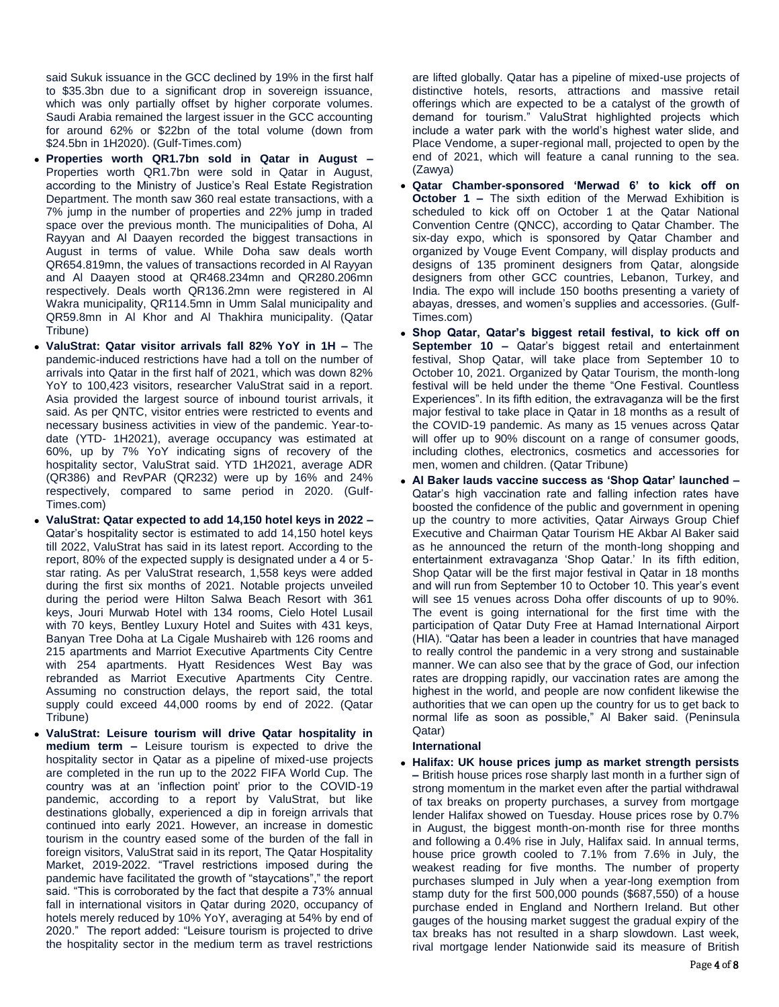said Sukuk issuance in the GCC declined by 19% in the first half to \$35.3bn due to a significant drop in sovereign issuance, which was only partially offset by higher corporate volumes. Saudi Arabia remained the largest issuer in the GCC accounting for around 62% or \$22bn of the total volume (down from \$24.5bn in 1H2020). (Gulf-Times.com)

- **Properties worth QR1.7bn sold in Qatar in August –** Properties worth QR1.7bn were sold in Qatar in August, according to the Ministry of Justice's Real Estate Registration Department. The month saw 360 real estate transactions, with a 7% jump in the number of properties and 22% jump in traded space over the previous month. The municipalities of Doha, Al Rayyan and Al Daayen recorded the biggest transactions in August in terms of value. While Doha saw deals worth QR654.819mn, the values of transactions recorded in Al Rayyan and Al Daayen stood at QR468.234mn and QR280.206mn respectively. Deals worth QR136.2mn were registered in Al Wakra municipality, QR114.5mn in Umm Salal municipality and QR59.8mn in Al Khor and Al Thakhira municipality. (Qatar Tribune)
- **ValuStrat: Qatar visitor arrivals fall 82% YoY in 1H –** The pandemic-induced restrictions have had a toll on the number of arrivals into Qatar in the first half of 2021, which was down 82% YoY to 100,423 visitors, researcher ValuStrat said in a report. Asia provided the largest source of inbound tourist arrivals, it said. As per QNTC, visitor entries were restricted to events and necessary business activities in view of the pandemic. Year-todate (YTD- 1H2021), average occupancy was estimated at 60%, up by 7% YoY indicating signs of recovery of the hospitality sector, ValuStrat said. YTD 1H2021, average ADR (QR386) and RevPAR (QR232) were up by 16% and 24% respectively, compared to same period in 2020. (Gulf-Times.com)
- **ValuStrat: Qatar expected to add 14,150 hotel keys in 2022 –** Qatar's hospitality sector is estimated to add 14,150 hotel keys till 2022, ValuStrat has said in its latest report. According to the report, 80% of the expected supply is designated under a 4 or 5 star rating. As per ValuStrat research, 1,558 keys were added during the first six months of 2021. Notable projects unveiled during the period were Hilton Salwa Beach Resort with 361 keys, Jouri Murwab Hotel with 134 rooms, Cielo Hotel Lusail with 70 keys, Bentley Luxury Hotel and Suites with 431 keys, Banyan Tree Doha at La Cigale Mushaireb with 126 rooms and 215 apartments and Marriot Executive Apartments City Centre with 254 apartments. Hyatt Residences West Bay was rebranded as Marriot Executive Apartments City Centre. Assuming no construction delays, the report said, the total supply could exceed 44,000 rooms by end of 2022. (Qatar Tribune)
- **ValuStrat: Leisure tourism will drive Qatar hospitality in medium term –** Leisure tourism is expected to drive the hospitality sector in Qatar as a pipeline of mixed-use projects are completed in the run up to the 2022 FIFA World Cup. The country was at an 'inflection point' prior to the COVID-19 pandemic, according to a report by ValuStrat, but like destinations globally, experienced a dip in foreign arrivals that continued into early 2021. However, an increase in domestic tourism in the country eased some of the burden of the fall in foreign visitors, ValuStrat said in its report, The Qatar Hospitality Market, 2019-2022. "Travel restrictions imposed during the pandemic have facilitated the growth of "staycations"," the report said. "This is corroborated by the fact that despite a 73% annual fall in international visitors in Qatar during 2020, occupancy of hotels merely reduced by 10% YoY, averaging at 54% by end of 2020." The report added: "Leisure tourism is projected to drive the hospitality sector in the medium term as travel restrictions

are lifted globally. Qatar has a pipeline of mixed-use projects of distinctive hotels, resorts, attractions and massive retail offerings which are expected to be a catalyst of the growth of demand for tourism." ValuStrat highlighted projects which include a water park with the world's highest water slide, and Place Vendome, a super-regional mall, projected to open by the end of 2021, which will feature a canal running to the sea. (Zawya)

- **Qatar Chamber-sponsored 'Merwad 6' to kick off on October 1 –** The sixth edition of the Merwad Exhibition is scheduled to kick off on October 1 at the Qatar National Convention Centre (QNCC), according to Qatar Chamber. The six-day expo, which is sponsored by Qatar Chamber and organized by Vouge Event Company, will display products and designs of 135 prominent designers from Qatar, alongside designers from other GCC countries, Lebanon, Turkey, and India. The expo will include 150 booths presenting a variety of abayas, dresses, and women's supplies and accessories. (Gulf-Times.com)
- **Shop Qatar, Qatar's biggest retail festival, to kick off on September 10 –** Qatar's biggest retail and entertainment festival, Shop Qatar, will take place from September 10 to October 10, 2021. Organized by Qatar Tourism, the month-long festival will be held under the theme "One Festival. Countless Experiences". In its fifth edition, the extravaganza will be the first major festival to take place in Qatar in 18 months as a result of the COVID-19 pandemic. As many as 15 venues across Qatar will offer up to 90% discount on a range of consumer goods, including clothes, electronics, cosmetics and accessories for men, women and children. (Qatar Tribune)
- **Al Baker lauds vaccine success as 'Shop Qatar' launched –** Qatar's high vaccination rate and falling infection rates have boosted the confidence of the public and government in opening up the country to more activities, Qatar Airways Group Chief Executive and Chairman Qatar Tourism HE Akbar Al Baker said as he announced the return of the month-long shopping and entertainment extravaganza 'Shop Qatar.' In its fifth edition, Shop Qatar will be the first major festival in Qatar in 18 months and will run from September 10 to October 10. This year's event will see 15 venues across Doha offer discounts of up to 90%. The event is going international for the first time with the participation of Qatar Duty Free at Hamad International Airport (HIA). "Qatar has been a leader in countries that have managed to really control the pandemic in a very strong and sustainable manner. We can also see that by the grace of God, our infection rates are dropping rapidly, our vaccination rates are among the highest in the world, and people are now confident likewise the authorities that we can open up the country for us to get back to normal life as soon as possible," Al Baker said. (Peninsula Qatar)

#### **International**

 **Halifax: UK house prices jump as market strength persists –** British house prices rose sharply last month in a further sign of strong momentum in the market even after the partial withdrawal of tax breaks on property purchases, a survey from mortgage lender Halifax showed on Tuesday. House prices rose by 0.7% in August, the biggest month-on-month rise for three months and following a 0.4% rise in July, Halifax said. In annual terms, house price growth cooled to 7.1% from 7.6% in July, the weakest reading for five months. The number of property purchases slumped in July when a year-long exemption from stamp duty for the first 500,000 pounds (\$687,550) of a house purchase ended in England and Northern Ireland. But other gauges of the housing market suggest the gradual expiry of the tax breaks has not resulted in a sharp slowdown. Last week, rival mortgage lender Nationwide said its measure of British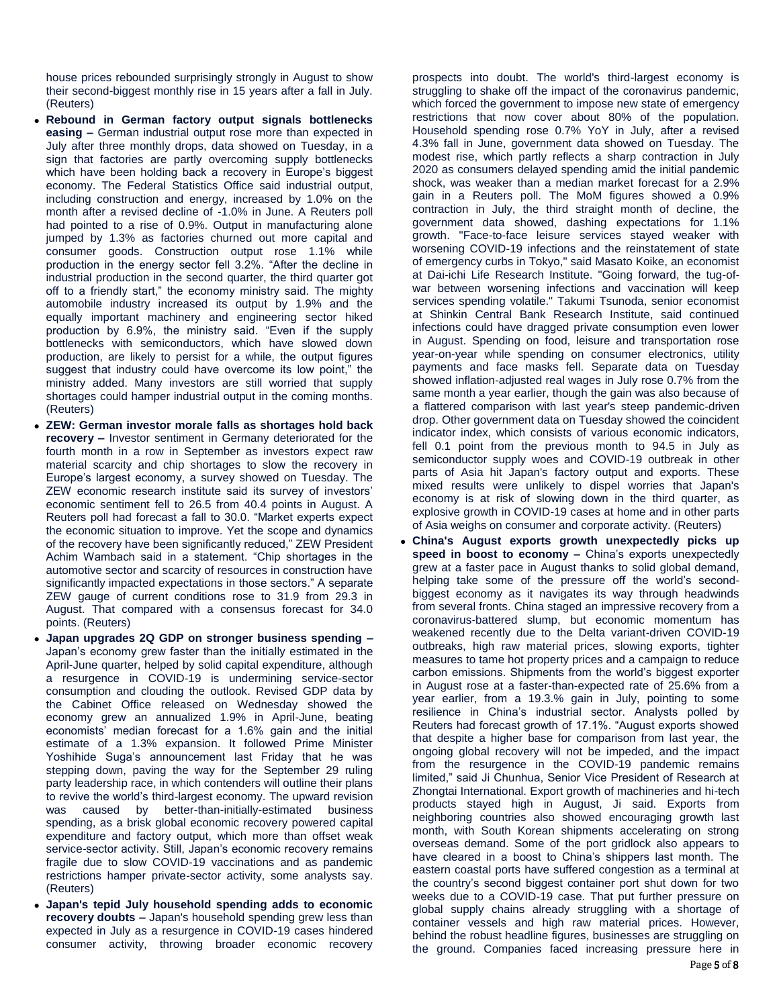house prices rebounded surprisingly strongly in August to show their second-biggest monthly rise in 15 years after a fall in July. (Reuters)

- **Rebound in German factory output signals bottlenecks easing –** German industrial output rose more than expected in July after three monthly drops, data showed on Tuesday, in a sign that factories are partly overcoming supply bottlenecks which have been holding back a recovery in Europe's biggest economy. The Federal Statistics Office said industrial output, including construction and energy, increased by 1.0% on the month after a revised decline of -1.0% in June. A Reuters poll had pointed to a rise of 0.9%. Output in manufacturing alone jumped by 1.3% as factories churned out more capital and consumer goods. Construction output rose 1.1% while production in the energy sector fell 3.2%. "After the decline in industrial production in the second quarter, the third quarter got off to a friendly start," the economy ministry said. The mighty automobile industry increased its output by 1.9% and the equally important machinery and engineering sector hiked production by 6.9%, the ministry said. "Even if the supply bottlenecks with semiconductors, which have slowed down production, are likely to persist for a while, the output figures suggest that industry could have overcome its low point," the ministry added. Many investors are still worried that supply shortages could hamper industrial output in the coming months. (Reuters)
- **ZEW: German investor morale falls as shortages hold back recovery –** Investor sentiment in Germany deteriorated for the fourth month in a row in September as investors expect raw material scarcity and chip shortages to slow the recovery in Europe's largest economy, a survey showed on Tuesday. The ZEW economic research institute said its survey of investors' economic sentiment fell to 26.5 from 40.4 points in August. A Reuters poll had forecast a fall to 30.0. "Market experts expect the economic situation to improve. Yet the scope and dynamics of the recovery have been significantly reduced," ZEW President Achim Wambach said in a statement. "Chip shortages in the automotive sector and scarcity of resources in construction have significantly impacted expectations in those sectors." A separate ZEW gauge of current conditions rose to 31.9 from 29.3 in August. That compared with a consensus forecast for 34.0 points. (Reuters)
- **Japan upgrades 2Q GDP on stronger business spending –** Japan's economy grew faster than the initially estimated in the April-June quarter, helped by solid capital expenditure, although a resurgence in COVID-19 is undermining service-sector consumption and clouding the outlook. Revised GDP data by the Cabinet Office released on Wednesday showed the economy grew an annualized 1.9% in April-June, beating economists' median forecast for a 1.6% gain and the initial estimate of a 1.3% expansion. It followed Prime Minister Yoshihide Suga's announcement last Friday that he was stepping down, paving the way for the September 29 ruling party leadership race, in which contenders will outline their plans to revive the world's third-largest economy. The upward revision was caused by better-than-initially-estimated business spending, as a brisk global economic recovery powered capital expenditure and factory output, which more than offset weak service-sector activity. Still, Japan's economic recovery remains fragile due to slow COVID-19 vaccinations and as pandemic restrictions hamper private-sector activity, some analysts say. (Reuters)
- **Japan's tepid July household spending adds to economic recovery doubts –** Japan's household spending grew less than expected in July as a resurgence in COVID-19 cases hindered consumer activity, throwing broader economic recovery

prospects into doubt. The world's third-largest economy is struggling to shake off the impact of the coronavirus pandemic, which forced the government to impose new state of emergency restrictions that now cover about 80% of the population. Household spending rose 0.7% YoY in July, after a revised 4.3% fall in June, government data showed on Tuesday. The modest rise, which partly reflects a sharp contraction in July 2020 as consumers delayed spending amid the initial pandemic shock, was weaker than a median market forecast for a 2.9% gain in a Reuters poll. The MoM figures showed a 0.9% contraction in July, the third straight month of decline, the government data showed, dashing expectations for 1.1% growth. "Face-to-face leisure services stayed weaker with worsening COVID-19 infections and the reinstatement of state of emergency curbs in Tokyo," said Masato Koike, an economist at Dai-ichi Life Research Institute. "Going forward, the tug-ofwar between worsening infections and vaccination will keep services spending volatile." Takumi Tsunoda, senior economist at Shinkin Central Bank Research Institute, said continued infections could have dragged private consumption even lower in August. Spending on food, leisure and transportation rose year-on-year while spending on consumer electronics, utility payments and face masks fell. Separate data on Tuesday showed inflation-adjusted real wages in July rose 0.7% from the same month a year earlier, though the gain was also because of a flattered comparison with last year's steep pandemic-driven drop. Other government data on Tuesday showed the coincident indicator index, which consists of various economic indicators, fell 0.1 point from the previous month to 94.5 in July as semiconductor supply woes and COVID-19 outbreak in other parts of Asia hit Japan's factory output and exports. These mixed results were unlikely to dispel worries that Japan's economy is at risk of slowing down in the third quarter, as explosive growth in COVID-19 cases at home and in other parts of Asia weighs on consumer and corporate activity. (Reuters)

 **China's August exports growth unexpectedly picks up speed in boost to economy –** China's exports unexpectedly grew at a faster pace in August thanks to solid global demand, helping take some of the pressure off the world's secondbiggest economy as it navigates its way through headwinds from several fronts. China staged an impressive recovery from a coronavirus-battered slump, but economic momentum has weakened recently due to the Delta variant-driven COVID-19 outbreaks, high raw material prices, slowing exports, tighter measures to tame hot property prices and a campaign to reduce carbon emissions. Shipments from the world's biggest exporter in August rose at a faster-than-expected rate of 25.6% from a year earlier, from a 19.3.% gain in July, pointing to some resilience in China's industrial sector. Analysts polled by Reuters had forecast growth of 17.1%. "August exports showed that despite a higher base for comparison from last year, the ongoing global recovery will not be impeded, and the impact from the resurgence in the COVID-19 pandemic remains limited," said Ji Chunhua, Senior Vice President of Research at Zhongtai International. Export growth of machineries and hi-tech products stayed high in August, Ji said. Exports from neighboring countries also showed encouraging growth last month, with South Korean shipments accelerating on strong overseas demand. Some of the port gridlock also appears to have cleared in a boost to China's shippers last month. The eastern coastal ports have suffered congestion as a terminal at the country's second biggest container port shut down for two weeks due to a COVID-19 case. That put further pressure on global supply chains already struggling with a shortage of container vessels and high raw material prices. However, behind the robust headline figures, businesses are struggling on the ground. Companies faced increasing pressure here in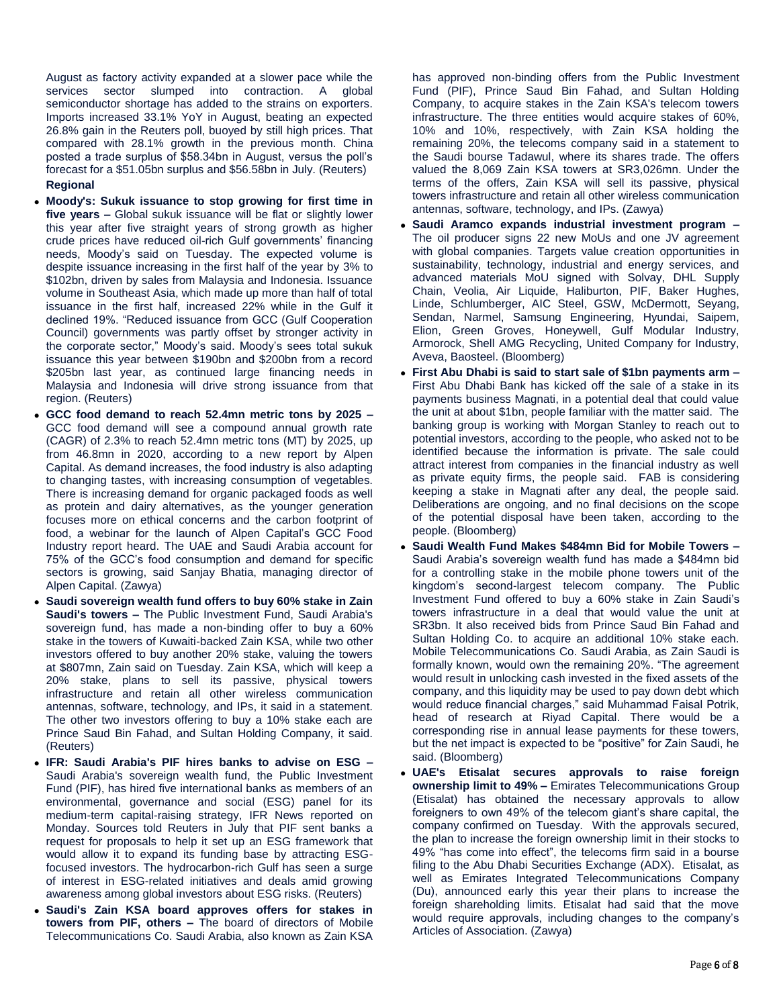August as factory activity expanded at a slower pace while the services sector slumped into contraction. A global semiconductor shortage has added to the strains on exporters. Imports increased 33.1% YoY in August, beating an expected 26.8% gain in the Reuters poll, buoyed by still high prices. That compared with 28.1% growth in the previous month. China posted a trade surplus of \$58.34bn in August, versus the poll's forecast for a \$51.05bn surplus and \$56.58bn in July. (Reuters) **Regional**

- **Moody's: Sukuk issuance to stop growing for first time in five years –** Global sukuk issuance will be flat or slightly lower this year after five straight years of strong growth as higher crude prices have reduced oil-rich Gulf governments' financing needs, Moody's said on Tuesday. The expected volume is despite issuance increasing in the first half of the year by 3% to \$102bn, driven by sales from Malaysia and Indonesia. Issuance volume in Southeast Asia, which made up more than half of total issuance in the first half, increased 22% while in the Gulf it declined 19%. "Reduced issuance from GCC (Gulf Cooperation Council) governments was partly offset by stronger activity in the corporate sector," Moody's said. Moody's sees total sukuk issuance this year between \$190bn and \$200bn from a record \$205bn last year, as continued large financing needs in Malaysia and Indonesia will drive strong issuance from that region. (Reuters)
- **GCC food demand to reach 52.4mn metric tons by 2025 –** GCC food demand will see a compound annual growth rate (CAGR) of 2.3% to reach 52.4mn metric tons (MT) by 2025, up from 46.8mn in 2020, according to a new report by Alpen Capital. As demand increases, the food industry is also adapting to changing tastes, with increasing consumption of vegetables. There is increasing demand for organic packaged foods as well as protein and dairy alternatives, as the younger generation focuses more on ethical concerns and the carbon footprint of food, a webinar for the launch of Alpen Capital's GCC Food Industry report heard. The UAE and Saudi Arabia account for 75% of the GCC's food consumption and demand for specific sectors is growing, said Sanjay Bhatia, managing director of Alpen Capital. (Zawya)
- **Saudi sovereign wealth fund offers to buy 60% stake in Zain Saudi's towers –** The Public Investment Fund, Saudi Arabia's sovereign fund, has made a non-binding offer to buy a 60% stake in the towers of Kuwaiti-backed Zain KSA, while two other investors offered to buy another 20% stake, valuing the towers at \$807mn, Zain said on Tuesday. Zain KSA, which will keep a 20% stake, plans to sell its passive, physical towers infrastructure and retain all other wireless communication antennas, software, technology, and IPs, it said in a statement. The other two investors offering to buy a 10% stake each are Prince Saud Bin Fahad, and Sultan Holding Company, it said. (Reuters)
- **IFR: Saudi Arabia's PIF hires banks to advise on ESG –** Saudi Arabia's sovereign wealth fund, the Public Investment Fund (PIF), has hired five international banks as members of an environmental, governance and social (ESG) panel for its medium-term capital-raising strategy, IFR News reported on Monday. Sources told Reuters in July that PIF sent banks a request for proposals to help it set up an ESG framework that would allow it to expand its funding base by attracting ESGfocused investors. The hydrocarbon-rich Gulf has seen a surge of interest in ESG-related initiatives and deals amid growing awareness among global investors about ESG risks. (Reuters)
- **Saudi's Zain KSA board approves offers for stakes in towers from PIF, others –** The board of directors of Mobile Telecommunications Co. Saudi Arabia, also known as Zain KSA

has approved non-binding offers from the Public Investment Fund (PIF), Prince Saud Bin Fahad, and Sultan Holding Company, to acquire stakes in the Zain KSA's telecom towers infrastructure. The three entities would acquire stakes of 60%, 10% and 10%, respectively, with Zain KSA holding the remaining 20%, the telecoms company said in a statement to the Saudi bourse Tadawul, where its shares trade. The offers valued the 8,069 Zain KSA towers at SR3,026mn. Under the terms of the offers, Zain KSA will sell its passive, physical towers infrastructure and retain all other wireless communication antennas, software, technology, and IPs. (Zawya)

- **Saudi Aramco expands industrial investment program –** The oil producer signs 22 new MoUs and one JV agreement with global companies. Targets value creation opportunities in sustainability, technology, industrial and energy services, and advanced materials MoU signed with Solvay, DHL Supply Chain, Veolia, Air Liquide, Haliburton, PIF, Baker Hughes, Linde, Schlumberger, AIC Steel, GSW, McDermott, Seyang, Sendan, Narmel, Samsung Engineering, Hyundai, Saipem, Elion, Green Groves, Honeywell, Gulf Modular Industry, Armorock, Shell AMG Recycling, United Company for Industry, Aveva, Baosteel. (Bloomberg)
- **First Abu Dhabi is said to start sale of \$1bn payments arm**  First Abu Dhabi Bank has kicked off the sale of a stake in its payments business Magnati, in a potential deal that could value the unit at about \$1bn, people familiar with the matter said. The banking group is working with Morgan Stanley to reach out to potential investors, according to the people, who asked not to be identified because the information is private. The sale could attract interest from companies in the financial industry as well as private equity firms, the people said. FAB is considering keeping a stake in Magnati after any deal, the people said. Deliberations are ongoing, and no final decisions on the scope of the potential disposal have been taken, according to the people. (Bloomberg)
- **Saudi Wealth Fund Makes \$484mn Bid for Mobile Towers –** Saudi Arabia's sovereign wealth fund has made a \$484mn bid for a controlling stake in the mobile phone towers unit of the kingdom's second-largest telecom company. The Public Investment Fund offered to buy a 60% stake in Zain Saudi's towers infrastructure in a deal that would value the unit at SR3bn. It also received bids from Prince Saud Bin Fahad and Sultan Holding Co. to acquire an additional 10% stake each. Mobile Telecommunications Co. Saudi Arabia, as Zain Saudi is formally known, would own the remaining 20%. "The agreement would result in unlocking cash invested in the fixed assets of the company, and this liquidity may be used to pay down debt which would reduce financial charges," said Muhammad Faisal Potrik, head of research at Riyad Capital. There would be a corresponding rise in annual lease payments for these towers, but the net impact is expected to be "positive" for Zain Saudi, he said. (Bloomberg)
- **UAE's Etisalat secures approvals to raise foreign ownership limit to 49% –** Emirates Telecommunications Group (Etisalat) has obtained the necessary approvals to allow foreigners to own 49% of the telecom giant's share capital, the company confirmed on Tuesday. With the approvals secured, the plan to increase the foreign ownership limit in their stocks to 49% "has come into effect", the telecoms firm said in a bourse filing to the Abu Dhabi Securities Exchange (ADX). Etisalat, as well as Emirates Integrated Telecommunications Company (Du), announced early this year their plans to increase the foreign shareholding limits. Etisalat had said that the move would require approvals, including changes to the company's Articles of Association. (Zawya)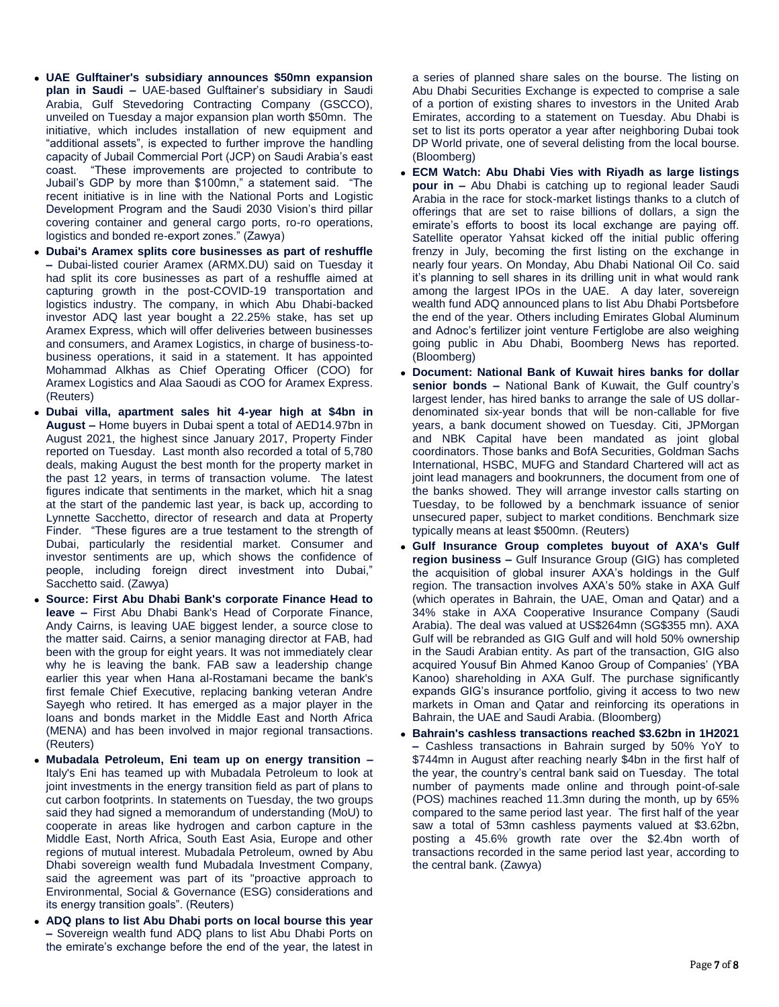- **UAE Gulftainer's subsidiary announces \$50mn expansion plan in Saudi –** UAE-based Gulftainer's subsidiary in Saudi Arabia, Gulf Stevedoring Contracting Company (GSCCO), unveiled on Tuesday a major expansion plan worth \$50mn. The initiative, which includes installation of new equipment and "additional assets", is expected to further improve the handling capacity of Jubail Commercial Port (JCP) on Saudi Arabia's east coast. "These improvements are projected to contribute to Jubail's GDP by more than \$100mn," a statement said. "The recent initiative is in line with the National Ports and Logistic Development Program and the Saudi 2030 Vision's third pillar covering container and general cargo ports, ro-ro operations, logistics and bonded re-export zones." (Zawya)
- **Dubai's Aramex splits core businesses as part of reshuffle –** Dubai-listed courier Aramex (ARMX.DU) said on Tuesday it had split its core businesses as part of a reshuffle aimed at capturing growth in the post-COVID-19 transportation and logistics industry. The company, in which Abu Dhabi-backed investor ADQ last year bought a 22.25% stake, has set up Aramex Express, which will offer deliveries between businesses and consumers, and Aramex Logistics, in charge of business-tobusiness operations, it said in a statement. It has appointed Mohammad Alkhas as Chief Operating Officer (COO) for Aramex Logistics and Alaa Saoudi as COO for Aramex Express. (Reuters)
- **Dubai villa, apartment sales hit 4-year high at \$4bn in August –** Home buyers in Dubai spent a total of AED14.97bn in August 2021, the highest since January 2017, Property Finder reported on Tuesday. Last month also recorded a total of 5,780 deals, making August the best month for the property market in the past 12 years, in terms of transaction volume. The latest figures indicate that sentiments in the market, which hit a snag at the start of the pandemic last year, is back up, according to Lynnette Sacchetto, director of research and data at Property Finder. "These figures are a true testament to the strength of Dubai, particularly the residential market. Consumer and investor sentiments are up, which shows the confidence of people, including foreign direct investment into Dubai," Sacchetto said. (Zawya)
- **Source: First Abu Dhabi Bank's corporate Finance Head to leave –** First Abu Dhabi Bank's Head of Corporate Finance, Andy Cairns, is leaving UAE biggest lender, a source close to the matter said. Cairns, a senior managing director at FAB, had been with the group for eight years. It was not immediately clear why he is leaving the bank. FAB saw a leadership change earlier this year when Hana al-Rostamani became the bank's first female Chief Executive, replacing banking veteran Andre Sayegh who retired. It has emerged as a major player in the loans and bonds market in the Middle East and North Africa (MENA) and has been involved in major regional transactions. (Reuters)
- **Mubadala Petroleum, Eni team up on energy transition –** Italy's Eni has teamed up with Mubadala Petroleum to look at joint investments in the energy transition field as part of plans to cut carbon footprints. In statements on Tuesday, the two groups said they had signed a memorandum of understanding (MoU) to cooperate in areas like hydrogen and carbon capture in the Middle East, North Africa, South East Asia, Europe and other regions of mutual interest. Mubadala Petroleum, owned by Abu Dhabi sovereign wealth fund Mubadala Investment Company, said the agreement was part of its "proactive approach to Environmental, Social & Governance (ESG) considerations and its energy transition goals". (Reuters)
- **ADQ plans to list Abu Dhabi ports on local bourse this year –** Sovereign wealth fund ADQ plans to list Abu Dhabi Ports on the emirate's exchange before the end of the year, the latest in

a series of planned share sales on the bourse. The listing on Abu Dhabi Securities Exchange is expected to comprise a sale of a portion of existing shares to investors in the United Arab Emirates, according to a statement on Tuesday. Abu Dhabi is set to list its ports operator a year after neighboring Dubai took DP World private, one of several delisting from the local bourse. (Bloomberg)

- **ECM Watch: Abu Dhabi Vies with Riyadh as large listings pour in –** Abu Dhabi is catching up to regional leader Saudi Arabia in the race for stock-market listings thanks to a clutch of offerings that are set to raise billions of dollars, a sign the emirate's efforts to boost its local exchange are paying off. Satellite operator Yahsat kicked off the initial public offering frenzy in July, becoming the first listing on the exchange in nearly four years. On Monday, Abu Dhabi National Oil Co. said it's planning to sell shares in its drilling unit in what would rank among the largest IPOs in the UAE. A day later, sovereign wealth fund ADQ announced plans to list Abu Dhabi Portsbefore the end of the year. Others including Emirates Global Aluminum and Adnoc's fertilizer joint venture Fertiglobe are also weighing going public in Abu Dhabi, Boomberg News has reported. (Bloomberg)
- **Document: National Bank of Kuwait hires banks for dollar senior bonds –** National Bank of Kuwait, the Gulf country's largest lender, has hired banks to arrange the sale of US dollardenominated six-year bonds that will be non-callable for five years, a bank document showed on Tuesday. Citi, JPMorgan and NBK Capital have been mandated as joint global coordinators. Those banks and BofA Securities, Goldman Sachs International, HSBC, MUFG and Standard Chartered will act as joint lead managers and bookrunners, the document from one of the banks showed. They will arrange investor calls starting on Tuesday, to be followed by a benchmark issuance of senior unsecured paper, subject to market conditions. Benchmark size typically means at least \$500mn. (Reuters)
- **Gulf Insurance Group completes buyout of AXA's Gulf region business –** Gulf Insurance Group (GIG) has completed the acquisition of global insurer AXA's holdings in the Gulf region. The transaction involves AXA's 50% stake in AXA Gulf (which operates in Bahrain, the UAE, Oman and Qatar) and a 34% stake in AXA Cooperative Insurance Company (Saudi Arabia). The deal was valued at US\$264mn (SG\$355 mn). AXA Gulf will be rebranded as GIG Gulf and will hold 50% ownership in the Saudi Arabian entity. As part of the transaction, GIG also acquired Yousuf Bin Ahmed Kanoo Group of Companies' (YBA Kanoo) shareholding in AXA Gulf. The purchase significantly expands GIG's insurance portfolio, giving it access to two new markets in Oman and Qatar and reinforcing its operations in Bahrain, the UAE and Saudi Arabia. (Bloomberg)
- **Bahrain's cashless transactions reached \$3.62bn in 1H2021 –** Cashless transactions in Bahrain surged by 50% YoY to \$744mn in August after reaching nearly \$4bn in the first half of the year, the country's central bank said on Tuesday. The total number of payments made online and through point-of-sale (POS) machines reached 11.3mn during the month, up by 65% compared to the same period last year. The first half of the year saw a total of 53mn cashless payments valued at \$3.62bn, posting a 45.6% growth rate over the \$2.4bn worth of transactions recorded in the same period last year, according to the central bank. (Zawya)